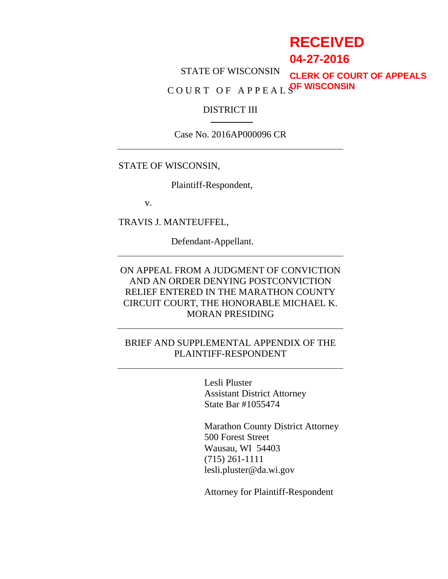# **RECEIVED**

**04-27-2016**

STATE OF WISCONSIN C O U R T O F A P P E A L S **OF WISCONSINCLERK OF COURT OF APPEALS**

#### DISTRICT III

Case No. 2016AP000096 CR

#### STATE OF WISCONSIN,

Plaintiff-Respondent,

v.

TRAVIS J. MANTEUFFEL,

Defendant-Appellant.

## ON APPEAL FROM A JUDGMENT OF CONVICTION AND AN ORDER DENYING POSTCONVICTION RELIEF ENTERED IN THE MARATHON COUNTY CIRCUIT COURT, THE HONORABLE MICHAEL K. MORAN PRESIDING

#### BRIEF AND SUPPLEMENTAL APPENDIX OF THE PLAINTIFF-RESPONDENT

Lesli Pluster Assistant District Attorney State Bar #1055474

Marathon County District Attorney 500 Forest Street Wausau, WI 54403 (715) 261-1111 lesli.pluster@da.wi.gov

Attorney for Plaintiff-Respondent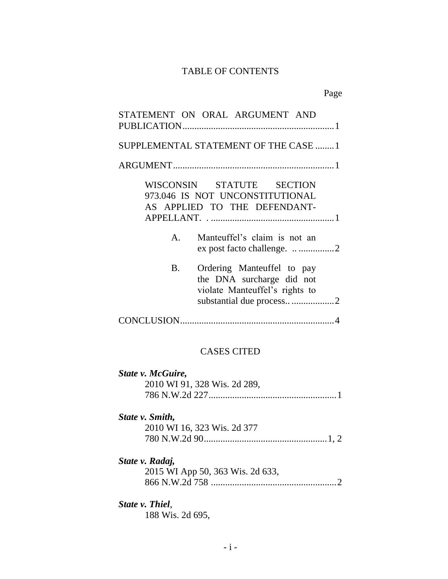## TABLE OF CONTENTS

Page

| STATEMENT ON ORAL ARGUMENT AND                                                                                                      |
|-------------------------------------------------------------------------------------------------------------------------------------|
|                                                                                                                                     |
| SUPPLEMENTAL STATEMENT OF THE CASE  1                                                                                               |
|                                                                                                                                     |
| WISCONSIN STATUTE SECTION<br>973.046 IS NOT UNCONSTITUTIONAL<br>AS APPLIED TO THE DEFENDANT-                                        |
| Manteuffel's claim is not an<br>$A_{\cdot}$                                                                                         |
| Ordering Manteuffel to pay<br><b>B.</b><br>the DNA surcharge did not<br>violate Manteuffel's rights to<br>substantial due process 2 |
|                                                                                                                                     |

## CASES CITED

| State v. McGuire, |                              |
|-------------------|------------------------------|
|                   | 2010 WI 91, 328 Wis. 2d 289, |
|                   |                              |
|                   |                              |

## *State v. Smith,*

| 2010 WI 16, 323 Wis. 2d 377 |  |
|-----------------------------|--|
|                             |  |

## *State v. Radaj,*

2015 WI App 50, 363 Wis. 2d 633, 866 N.W.2d 758 .....................................................2

## *State v. Thiel*,

188 Wis. 2d 695,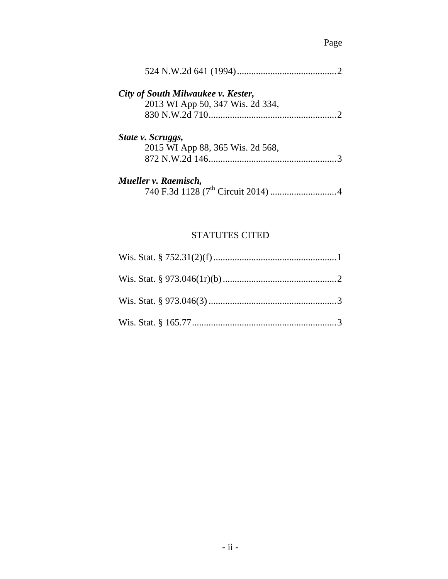## Page

| City of South Milwaukee v. Kester, |           |
|------------------------------------|-----------|
| 2013 WI App 50, 347 Wis. 2d 334,   |           |
|                                    | $\bigcap$ |
| State v. Scruggs,                  |           |
| 2015 WI App 88, 365 Wis. 2d 568,   |           |
|                                    |           |
| Mueller v. Raemisch,               |           |
|                                    |           |

## STATUTES CITED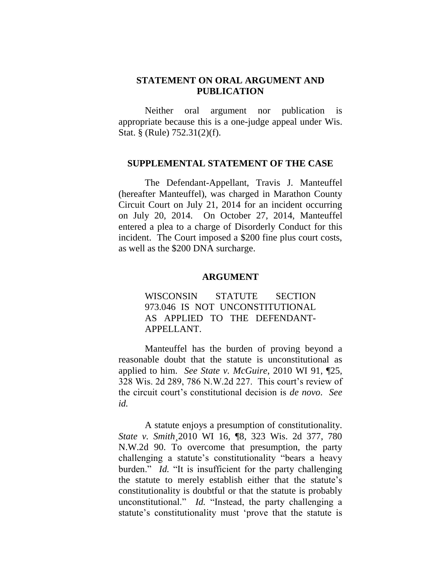#### **STATEMENT ON ORAL ARGUMENT AND PUBLICATION**

Neither oral argument nor publication is appropriate because this is a one-judge appeal under Wis. Stat. § (Rule) 752.31(2)(f).

#### **SUPPLEMENTAL STATEMENT OF THE CASE**

The Defendant-Appellant, Travis J. Manteuffel (hereafter Manteuffel), was charged in Marathon County Circuit Court on July 21, 2014 for an incident occurring on July 20, 2014. On October 27, 2014, Manteuffel entered a plea to a charge of Disorderly Conduct for this incident. The Court imposed a \$200 fine plus court costs, as well as the \$200 DNA surcharge.

#### **ARGUMENT**

WISCONSIN STATUTE SECTION 973.046 IS NOT UNCONSTITUTIONAL AS APPLIED TO THE DEFENDANT-APPELLANT.

Manteuffel has the burden of proving beyond a reasonable doubt that the statute is unconstitutional as applied to him. *See State v. McGuire*, 2010 WI 91, ¶25, 328 Wis. 2d 289, 786 N.W.2d 227. This court's review of the circuit court's constitutional decision is *de novo*. *See id.*

A statute enjoys a presumption of constitutionality. *State v. Smith¸*2010 WI 16, ¶8, 323 Wis. 2d 377, 780 N.W.2d 90. To overcome that presumption, the party challenging a statute's constitutionality "bears a heavy burden." *Id.* "It is insufficient for the party challenging the statute to merely establish either that the statute's constitutionality is doubtful or that the statute is probably unconstitutional." *Id.* "Instead, the party challenging a statute's constitutionality must 'prove that the statute is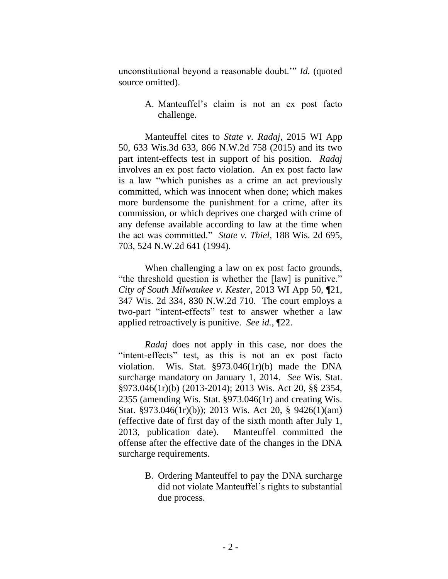unconstitutional beyond a reasonable doubt.'" *Id.* (quoted source omitted).

> A. Manteuffel's claim is not an ex post facto challenge.

Manteuffel cites to *State v. Radaj*, 2015 WI App 50, 633 Wis.3d 633, 866 N.W.2d 758 (2015) and its two part intent-effects test in support of his position. *Radaj* involves an ex post facto violation. An ex post facto law is a law "which punishes as a crime an act previously committed, which was innocent when done; which makes more burdensome the punishment for a crime, after its commission, or which deprives one charged with crime of any defense available according to law at the time when the act was committed." *State v. Thiel,* 188 Wis. 2d 695, 703, 524 N.W.2d 641 (1994).

When challenging a law on ex post facto grounds, "the threshold question is whether the [law] is punitive." *City of South Milwaukee v. Kester*, 2013 WI App 50, ¶21, 347 Wis. 2d 334, 830 N.W.2d 710. The court employs a two-part "intent-effects" test to answer whether a law applied retroactively is punitive. *See id.,* ¶22.

*Radaj* does not apply in this case, nor does the "intent-effects" test, as this is not an ex post facto violation. Wis. Stat. §973.046(1r)(b) made the DNA surcharge mandatory on January 1, 2014. *See* Wis. Stat. §973.046(1r)(b) (2013-2014); 2013 Wis. Act 20, §§ 2354, 2355 (amending Wis. Stat. §973.046(1r) and creating Wis. Stat. §973.046(1r)(b)); 2013 Wis. Act 20, § 9426(1)(am) (effective date of first day of the sixth month after July 1, 2013, publication date). Manteuffel committed the offense after the effective date of the changes in the DNA surcharge requirements.

> B. Ordering Manteuffel to pay the DNA surcharge did not violate Manteuffel's rights to substantial due process.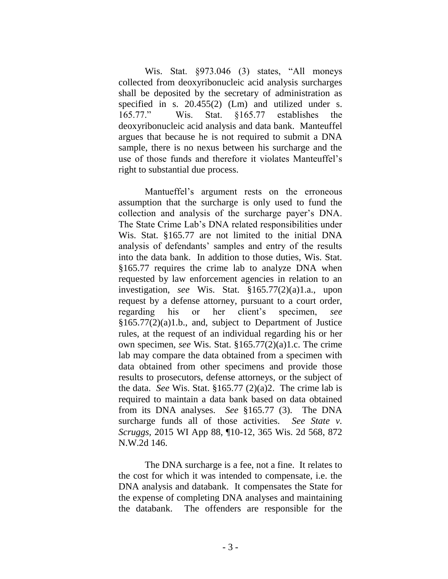Wis. Stat. §973.046 (3) states, "All moneys collected from deoxyribonucleic acid analysis surcharges shall be deposited by the secretary of administration as specified in s. 20.455(2) (Lm) and utilized under s. 165.77." Wis. Stat. §165.77 establishes the deoxyribonucleic acid analysis and data bank. Manteuffel argues that because he is not required to submit a DNA sample, there is no nexus between his surcharge and the use of those funds and therefore it violates Manteuffel's right to substantial due process.

Mantueffel's argument rests on the erroneous assumption that the surcharge is only used to fund the collection and analysis of the surcharge payer's DNA. The State Crime Lab's DNA related responsibilities under Wis. Stat. §165.77 are not limited to the initial DNA analysis of defendants' samples and entry of the results into the data bank. In addition to those duties, Wis. Stat. §165.77 requires the crime lab to analyze DNA when requested by law enforcement agencies in relation to an investigation, *see* Wis. Stat. §165.77(2)(a)1.a., upon request by a defense attorney, pursuant to a court order, regarding his or her client's specimen, *see*  §165.77(2)(a)1.b., and, subject to Department of Justice rules, at the request of an individual regarding his or her own specimen, *see* Wis. Stat. §165.77(2)(a)1.c. The crime lab may compare the data obtained from a specimen with data obtained from other specimens and provide those results to prosecutors, defense attorneys, or the subject of the data. *See* Wis. Stat. §165.77 (2)(a)2. The crime lab is required to maintain a data bank based on data obtained from its DNA analyses. *See* §165.77 (3). The DNA surcharge funds all of those activities. *See State v. Scruggs,* 2015 WI App 88, ¶10-12, 365 Wis. 2d 568, 872 N.W.2d 146.

The DNA surcharge is a fee, not a fine. It relates to the cost for which it was intended to compensate, i.e. the DNA analysis and databank. It compensates the State for the expense of completing DNA analyses and maintaining the databank. The offenders are responsible for the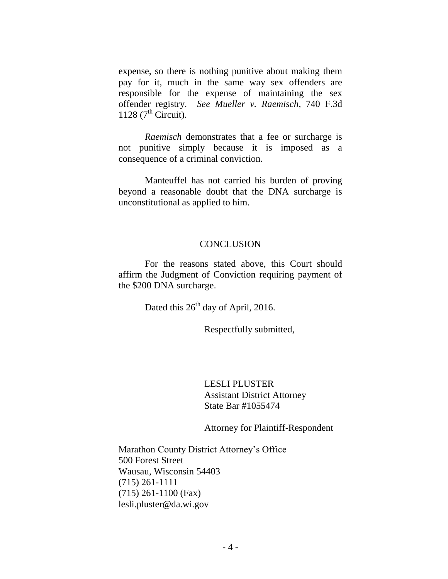expense, so there is nothing punitive about making them pay for it, much in the same way sex offenders are responsible for the expense of maintaining the sex offender registry. *See Mueller v. Raemisch*, 740 F.3d 1128  $(7<sup>th</sup> Circuit)$ .

*Raemisch* demonstrates that a fee or surcharge is not punitive simply because it is imposed as a consequence of a criminal conviction.

Manteuffel has not carried his burden of proving beyond a reasonable doubt that the DNA surcharge is unconstitutional as applied to him.

#### **CONCLUSION**

For the reasons stated above, this Court should affirm the Judgment of Conviction requiring payment of the \$200 DNA surcharge.

Dated this  $26<sup>th</sup>$  day of April, 2016.

Respectfully submitted,

LESLI PLUSTER Assistant District Attorney State Bar #1055474

Attorney for Plaintiff-Respondent

Marathon County District Attorney's Office 500 Forest Street Wausau, Wisconsin 54403 (715) 261-1111 (715) 261-1100 (Fax) lesli.pluster@da.wi.gov